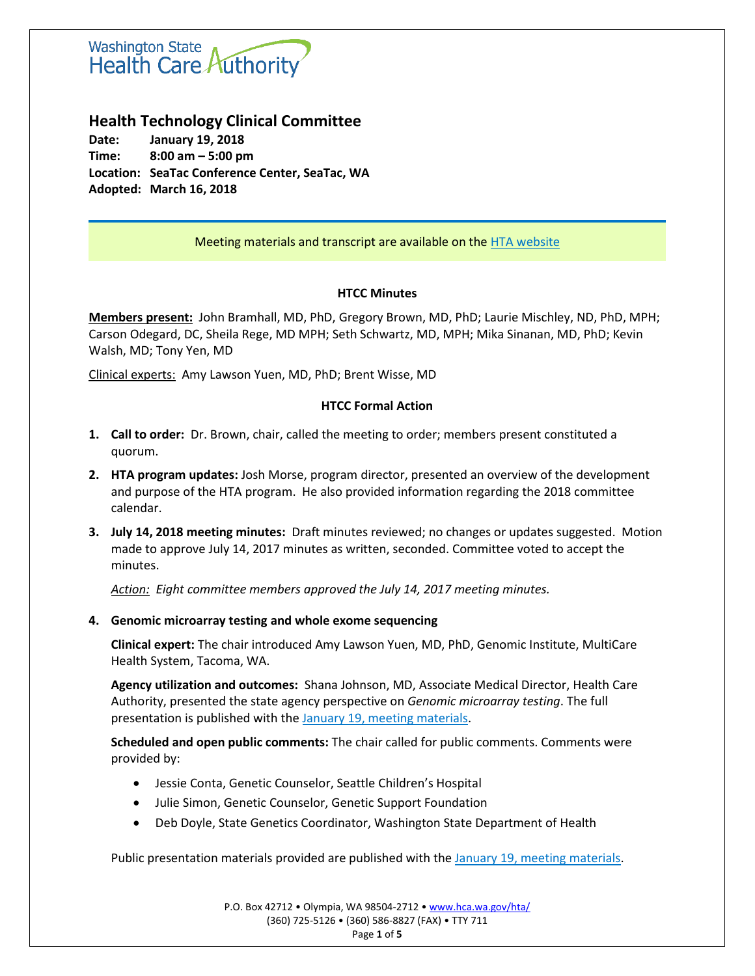

# **Health Technology Clinical Committee**

**Date: January 19, 2018 Time: 8:00 am – 5:00 pm Location: SeaTac Conference Center, SeaTac, WA Adopted: March 16, 2018**

# Meeting materials and transcript are available on the [HTA website](http://www.hca.wa.gov/about-hca/health-technology-assessment/meetings-and-materials)

## **HTCC Minutes**

**Members present:** John Bramhall, MD, PhD, Gregory Brown, MD, PhD; Laurie Mischley, ND, PhD, MPH; Carson Odegard, DC, Sheila Rege, MD MPH; Seth Schwartz, MD, MPH; Mika Sinanan, MD, PhD; Kevin Walsh, MD; Tony Yen, MD

Clinical experts: Amy Lawson Yuen, MD, PhD; Brent Wisse, MD

## **HTCC Formal Action**

- **1. Call to order:** Dr. Brown, chair, called the meeting to order; members present constituted a quorum.
- **2. HTA program updates:** Josh Morse, program director, presented an overview of the development and purpose of the HTA program. He also provided information regarding the 2018 committee calendar.
- **3. July 14, 2018 meeting minutes:** Draft minutes reviewed; no changes or updates suggested. Motion made to approve July 14, 2017 minutes as written, seconded. Committee voted to accept the minutes.

*Action: Eight committee members approved the July 14, 2017 meeting minutes.*

# **4. Genomic microarray testing and whole exome sequencing**

**Clinical expert:** The chair introduced Amy Lawson Yuen, MD, PhD, Genomic Institute, MultiCare Health System, Tacoma, WA.

**Agency utilization and outcomes:** Shana Johnson, MD, Associate Medical Director, Health Care Authority, presented the state agency perspective on *Genomic microarray testing*. The full presentation is published with the [January 19, meeting materials.](http://www.hca.wa.gov/about-hca/health-technology-assessment/meetings-and-materials)

**Scheduled and open public comments:** The chair called for public comments. Comments were provided by:

- Jessie Conta, Genetic Counselor, Seattle Children's Hospital
- Julie Simon, Genetic Counselor, Genetic Support Foundation
- Deb Doyle, State Genetics Coordinator, Washington State Department of Health

Public presentation materials provided are published with the January 19, meeting [materials.](http://www.hca.wa.gov/about-hca/health-technology-assessment/meetings-and-materials)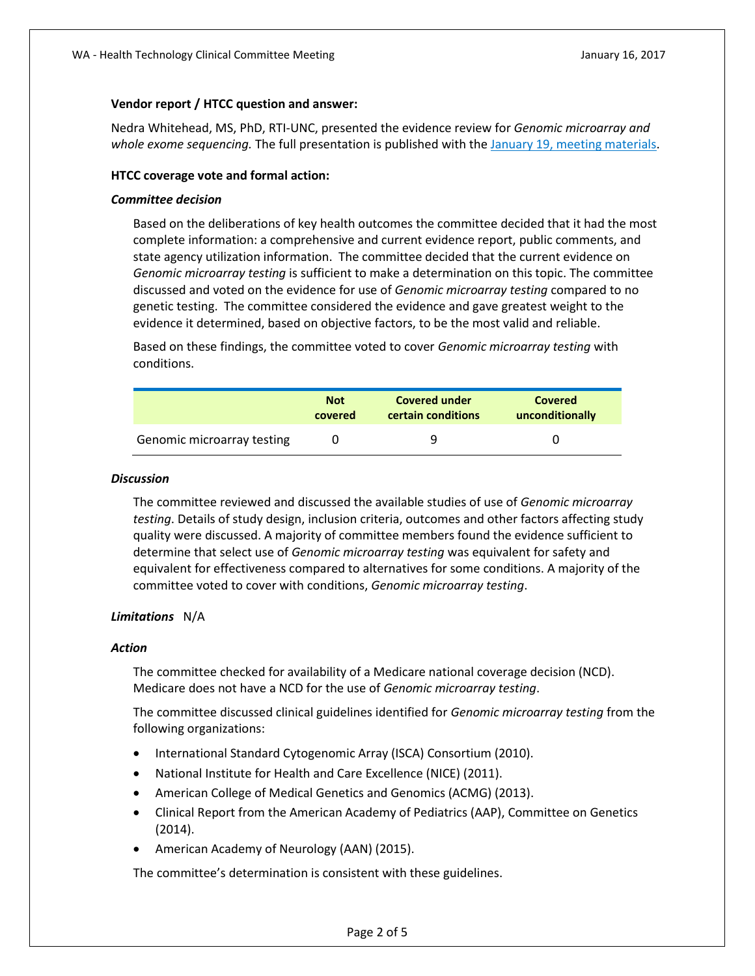### **Vendor report / HTCC question and answer:**

Nedra Whitehead, MS, PhD, RTI-UNC, presented the evidence review for *Genomic microarray and whole exome sequencing.* The full presentation is published with the January 19, [meeting materials.](http://www.hca.wa.gov/about-hca/health-technology-assessment/meetings-and-materials)

#### **HTCC coverage vote and formal action:**

#### *Committee decision*

Based on the deliberations of key health outcomes the committee decided that it had the most complete information: a comprehensive and current evidence report, public comments, and state agency utilization information. The committee decided that the current evidence on *Genomic microarray testing* is sufficient to make a determination on this topic. The committee discussed and voted on the evidence for use of *Genomic microarray testing* compared to no genetic testing. The committee considered the evidence and gave greatest weight to the evidence it determined, based on objective factors, to be the most valid and reliable.

Based on these findings, the committee voted to cover *Genomic microarray testing* with conditions.

|                            | <b>Not</b> | <b>Covered under</b> | <b>Covered</b>  |
|----------------------------|------------|----------------------|-----------------|
|                            | covered    | certain conditions   | unconditionally |
| Genomic microarray testing |            | q                    |                 |

#### *Discussion*

The committee reviewed and discussed the available studies of use of *Genomic microarray testing*. Details of study design, inclusion criteria, outcomes and other factors affecting study quality were discussed. A majority of committee members found the evidence sufficient to determine that select use of *Genomic microarray testing* was equivalent for safety and equivalent for effectiveness compared to alternatives for some conditions. A majority of the committee voted to cover with conditions, *Genomic microarray testing*.

### *Limitations* N/A

### *Action*

The committee checked for availability of a Medicare national coverage decision (NCD). Medicare does not have a NCD for the use of *Genomic microarray testing*.

The committee discussed clinical guidelines identified for *Genomic microarray testing* from the following organizations:

- International Standard Cytogenomic Array (ISCA) Consortium (2010).
- National Institute for Health and Care Excellence (NICE) (2011).
- American College of Medical Genetics and Genomics (ACMG) (2013).
- Clinical Report from the American Academy of Pediatrics (AAP), Committee on Genetics (2014).
- American Academy of Neurology (AAN) (2015).

The committee's determination is consistent with these guidelines.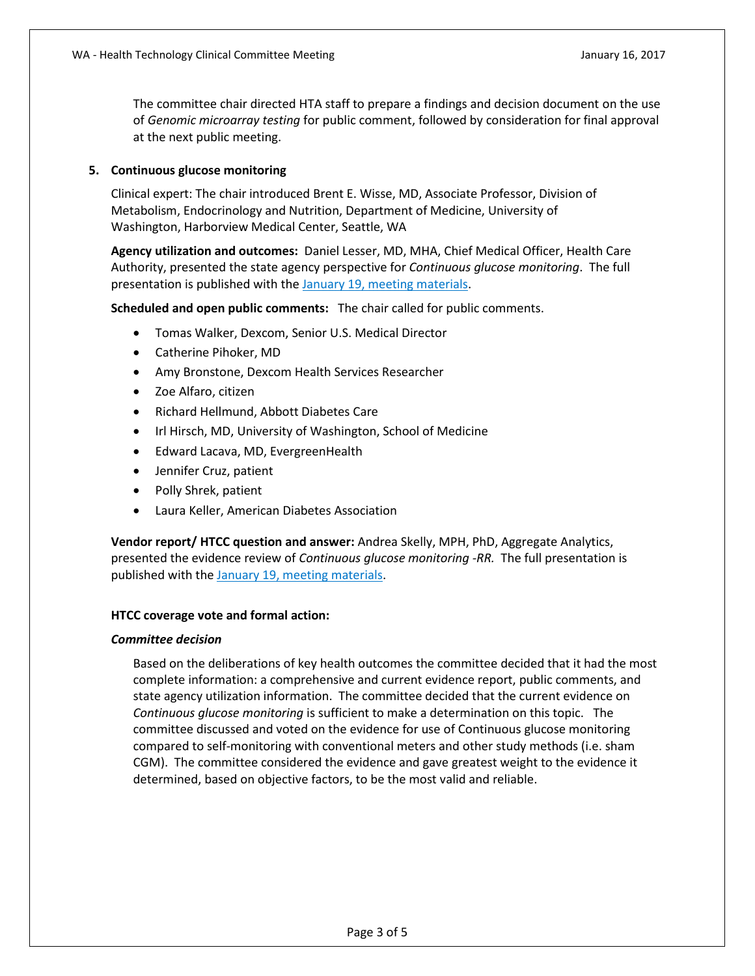The committee chair directed HTA staff to prepare a findings and decision document on the use of *Genomic microarray testing* for public comment, followed by consideration for final approval at the next public meeting.

## **5. Continuous glucose monitoring**

Clinical expert: The chair introduced Brent E. Wisse, MD, Associate Professor, Division of Metabolism, Endocrinology and Nutrition, Department of Medicine, University of Washington, Harborview Medical Center, Seattle, WA

**Agency utilization and outcomes:** Daniel Lesser, MD, MHA, Chief Medical Officer, Health Care Authority, presented the state agency perspective for *Continuous glucose monitoring*. The full presentation is published with the [January 19, meeting materials.](http://www.hca.wa.gov/about-hca/health-technology-assessment/meetings-and-materials)

**Scheduled and open public comments:** The chair called for public comments.

- Tomas Walker, Dexcom, Senior U.S. Medical Director
- Catherine Pihoker, MD
- Amy Bronstone, Dexcom Health Services Researcher
- Zoe Alfaro, citizen
- Richard Hellmund, Abbott Diabetes Care
- Irl Hirsch, MD, University of Washington, School of Medicine
- Edward Lacava, MD, EvergreenHealth
- Jennifer Cruz, patient
- Polly Shrek, patient
- Laura Keller, American Diabetes Association

**Vendor report/ HTCC question and answer:** Andrea Skelly, MPH, PhD, Aggregate Analytics, presented the evidence review of *Continuous glucose monitoring -RR.* The full presentation is published with the January 19, [meeting materials.](http://www.hca.wa.gov/about-hca/health-technology-assessment/meetings-and-materials)

### **HTCC coverage vote and formal action:**

#### *Committee decision*

Based on the deliberations of key health outcomes the committee decided that it had the most complete information: a comprehensive and current evidence report, public comments, and state agency utilization information. The committee decided that the current evidence on *Continuous glucose monitoring* is sufficient to make a determination on this topic. The committee discussed and voted on the evidence for use of Continuous glucose monitoring compared to self-monitoring with conventional meters and other study methods (i.e. sham CGM). The committee considered the evidence and gave greatest weight to the evidence it determined, based on objective factors, to be the most valid and reliable.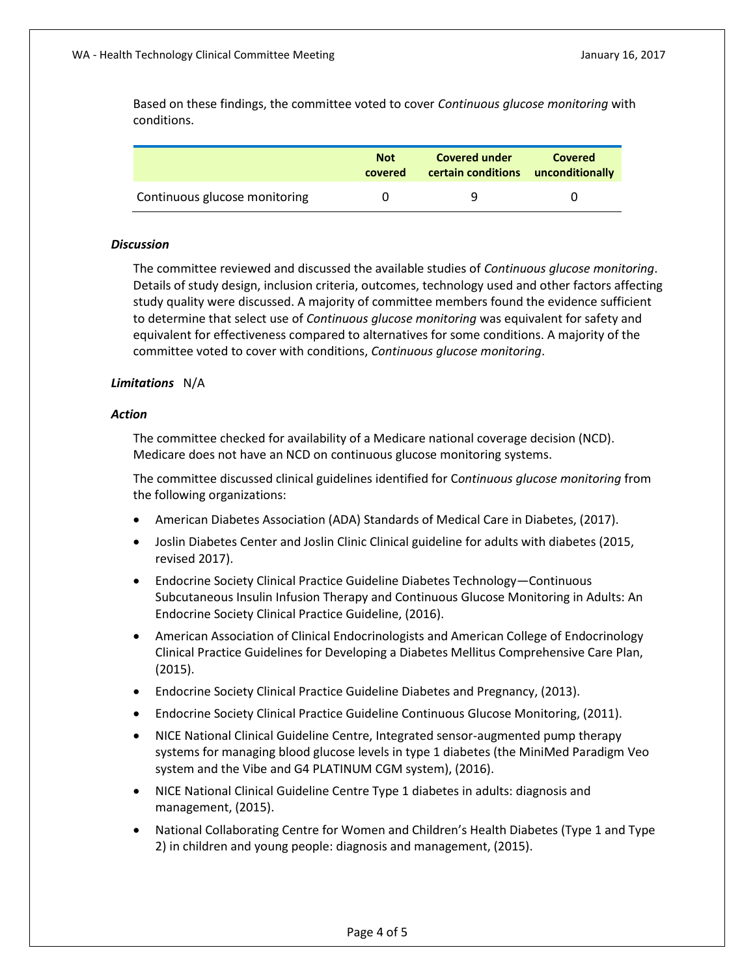Based on these findings, the committee voted to cover *Continuous glucose monitoring* with conditions.

|                               | <b>Not</b><br>covered | <b>Covered under</b><br>certain conditions unconditionally | <b>Covered</b> |
|-------------------------------|-----------------------|------------------------------------------------------------|----------------|
| Continuous glucose monitoring |                       | q                                                          | $^{\prime}$    |

#### *Discussion*

The committee reviewed and discussed the available studies of *Continuous glucose monitoring*. Details of study design, inclusion criteria, outcomes, technology used and other factors affecting study quality were discussed. A majority of committee members found the evidence sufficient to determine that select use of *Continuous glucose monitoring* was equivalent for safety and equivalent for effectiveness compared to alternatives for some conditions. A majority of the committee voted to cover with conditions, *Continuous glucose monitoring*.

### *Limitations* N/A

### *Action*

The committee checked for availability of a Medicare national coverage decision (NCD). Medicare does not have an NCD on continuous glucose monitoring systems.

The committee discussed clinical guidelines identified for C*ontinuous glucose monitoring* from the following organizations:

- American Diabetes Association (ADA) Standards of Medical Care in Diabetes, (2017).
- Joslin Diabetes Center and Joslin Clinic Clinical guideline for adults with diabetes (2015, revised 2017).
- Endocrine Society Clinical Practice Guideline Diabetes Technology—Continuous Subcutaneous Insulin Infusion Therapy and Continuous Glucose Monitoring in Adults: An Endocrine Society Clinical Practice Guideline, (2016).
- American Association of Clinical Endocrinologists and American College of Endocrinology Clinical Practice Guidelines for Developing a Diabetes Mellitus Comprehensive Care Plan, (2015).
- Endocrine Society Clinical Practice Guideline Diabetes and Pregnancy, (2013).
- Endocrine Society Clinical Practice Guideline Continuous Glucose Monitoring, (2011).
- NICE National Clinical Guideline Centre, Integrated sensor-augmented pump therapy systems for managing blood glucose levels in type 1 diabetes (the MiniMed Paradigm Veo system and the Vibe and G4 PLATINUM CGM system), (2016).
- NICE National Clinical Guideline Centre Type 1 diabetes in adults: diagnosis and management, (2015).
- National Collaborating Centre for Women and Children's Health Diabetes (Type 1 and Type 2) in children and young people: diagnosis and management, (2015).